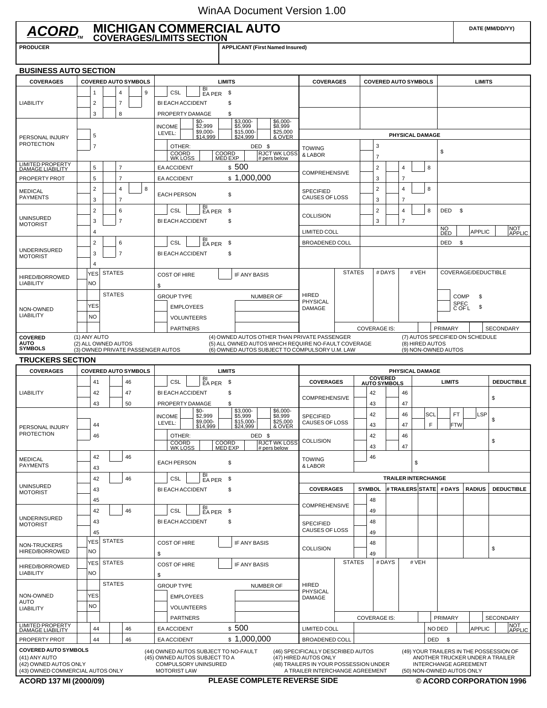## WinAA Document Version 1.00

|                                                                                                           |                                                                                                                                                                                                                                                 |                                     |               |                                                                                                 |   |                           | ACORD MICHIGAN COMMERCIAL AUTO                                                                                       |                                    |                                                                                                                                                       |                                                                                                                                         |                      |               |                        |                                       |                                  |                         |                         | DATE (MM/DD/YY)            |                                 |                                                                            |
|-----------------------------------------------------------------------------------------------------------|-------------------------------------------------------------------------------------------------------------------------------------------------------------------------------------------------------------------------------------------------|-------------------------------------|---------------|-------------------------------------------------------------------------------------------------|---|---------------------------|----------------------------------------------------------------------------------------------------------------------|------------------------------------|-------------------------------------------------------------------------------------------------------------------------------------------------------|-----------------------------------------------------------------------------------------------------------------------------------------|----------------------|---------------|------------------------|---------------------------------------|----------------------------------|-------------------------|-------------------------|----------------------------|---------------------------------|----------------------------------------------------------------------------|
| <b>PRODUCER</b>                                                                                           |                                                                                                                                                                                                                                                 |                                     |               |                                                                                                 |   |                           |                                                                                                                      |                                    | <b>APPLICANT (First Named Insured)</b>                                                                                                                |                                                                                                                                         |                      |               |                        |                                       |                                  |                         |                         |                            |                                 |                                                                            |
| <b>BUSINESS AUTO SECTION</b>                                                                              |                                                                                                                                                                                                                                                 |                                     |               |                                                                                                 |   |                           |                                                                                                                      |                                    |                                                                                                                                                       |                                                                                                                                         |                      |               |                        |                                       |                                  |                         |                         |                            |                                 |                                                                            |
| <b>COVERAGES</b>                                                                                          | <b>COVERED AUTO SYMBOLS</b>                                                                                                                                                                                                                     |                                     |               |                                                                                                 |   |                           |                                                                                                                      | <b>LIMITS</b>                      |                                                                                                                                                       | <b>COVERAGES</b>                                                                                                                        |                      |               |                        | <b>COVERED AUTO SYMBOLS</b>           |                                  |                         |                         |                            | <b>LIMITS</b>                   |                                                                            |
| <b>LIABILITY</b>                                                                                          |                                                                                                                                                                                                                                                 | 9<br>4<br>-1<br>$\overline{7}$<br>2 |               |                                                                                                 |   |                           | $BI$<br>EA PER<br>CSL<br><b>BI EACH ACCIDENT</b>                                                                     |                                    |                                                                                                                                                       |                                                                                                                                         |                      |               |                        |                                       |                                  |                         |                         |                            |                                 |                                                                            |
|                                                                                                           |                                                                                                                                                                                                                                                 |                                     |               | 8                                                                                               |   | <b>INCOME</b><br>LEVEL:   | PROPERTY DAMAGE<br>\$0-<br>\$2,999<br>\$9,000-<br>\$14,999                                                           |                                    |                                                                                                                                                       |                                                                                                                                         |                      |               |                        |                                       |                                  |                         |                         |                            |                                 |                                                                            |
| PERSONAL INJURY<br><b>PROTECTION</b>                                                                      | $\overline{7}$                                                                                                                                                                                                                                  |                                     |               |                                                                                                 |   |                           | OTHER:<br>COORD<br>WK LOSS                                                                                           | <b>TOWING</b><br>& LABOR           | 3<br>7                                                                                                                                                |                                                                                                                                         |                      |               | <b>PHYSICAL DAMAGE</b> | \$                                    |                                  |                         |                         |                            |                                 |                                                                            |
| <b>LIMITED PROPERTY<br/>DAMAGE LIABILITY</b>                                                              |                                                                                                                                                                                                                                                 | 5                                   |               | 7                                                                                               |   |                           | <b>EA ACCIDENT</b>                                                                                                   | COORD<br>MED EXP                   | # pers below<br>\$500                                                                                                                                 |                                                                                                                                         |                      |               | $\overline{2}$         |                                       | $\overline{4}$                   |                         | 8                       |                            |                                 |                                                                            |
| PROPERTY PROT                                                                                             |                                                                                                                                                                                                                                                 | 5                                   |               | $\overline{7}$                                                                                  |   |                           | EA ACCIDENT                                                                                                          |                                    | \$1,000,000                                                                                                                                           | <b>COMPREHENSIVE</b>                                                                                                                    |                      |               | 3                      |                                       | $\overline{7}$                   |                         |                         |                            |                                 |                                                                            |
| <b>MEDICAL</b><br><b>PAYMENTS</b>                                                                         |                                                                                                                                                                                                                                                 | $\overline{2}$<br>3                 |               | 4<br>$\overline{7}$                                                                             | 8 |                           | <b>EACH PERSON</b>                                                                                                   | \$                                 |                                                                                                                                                       | <b>SPECIFIED</b><br>CAUSES OF LOSS                                                                                                      |                      |               | $\overline{2}$<br>3    |                                       | $\overline{4}$<br>$\overline{7}$ |                         | 8                       |                            |                                 |                                                                            |
| <b>UNINSURED</b><br><b>MOTORIST</b>                                                                       |                                                                                                                                                                                                                                                 | $\overline{2}$<br>3                 |               | 6<br>$\overline{7}$                                                                             |   |                           | BI<br>CSL<br>EA PER<br><b>BI EACH ACCIDENT</b>                                                                       | \$<br>\$                           |                                                                                                                                                       | <b>COLLISION</b>                                                                                                                        |                      |               | $\overline{2}$<br>3    |                                       | $\overline{4}$<br>$\overline{7}$ |                         | 8                       | <b>DED</b><br>- \$         |                                 |                                                                            |
|                                                                                                           | 3<br>5<br>4<br>$\overline{2}$<br>3<br>4<br><b>YES</b><br><b>NO</b><br><b>YES</b><br><b>NO</b><br>(1) ANY AUTO<br>(2) ALL OWNED AUTOS<br><b>YES</b><br><b>NO</b><br><b>YES</b><br><b>NO</b><br><b>YES</b><br>NO.<br>44<br>ACORD 137 MI (2000/09) |                                     |               |                                                                                                 |   |                           |                                                                                                                      | <b>LIMITED COLL</b>                |                                                                                                                                                       |                                                                                                                                         |                      |               |                        |                                       |                                  | NO<br>DED               | NOT<br>APPLIC<br>APPLIC |                            |                                 |                                                                            |
| <b>UNDERINSURED</b><br><b>MOTORIST</b>                                                                    |                                                                                                                                                                                                                                                 |                                     |               | 6<br>$\overline{7}$                                                                             |   |                           | BI<br>EA PER<br>CSL<br><b>BI EACH ACCIDENT</b>                                                                       | \$<br>\$                           |                                                                                                                                                       | <b>BROADENED COLL</b>                                                                                                                   |                      |               |                        |                                       |                                  |                         |                         | DED<br>- \$                |                                 |                                                                            |
| HIRED/BORROWED<br><b>LIABILITY</b>                                                                        |                                                                                                                                                                                                                                                 |                                     | <b>STATES</b> |                                                                                                 |   | \$                        | <b>COST OF HIRE</b>                                                                                                  |                                    | IF ANY BASIS                                                                                                                                          |                                                                                                                                         |                      | <b>STATES</b> |                        | #DAYS                                 |                                  | # VEH                   |                         |                            | COVERAGE/DEDUCTIBLE             |                                                                            |
| NON-OWNED<br><b>LIABILITY</b>                                                                             |                                                                                                                                                                                                                                                 |                                     | <b>STATES</b> |                                                                                                 |   |                           | <b>GROUP TYPE</b><br><b>EMPLOYEES</b><br><b>VOLUNTEERS</b>                                                           |                                    | <b>NUMBER OF</b>                                                                                                                                      | <b>HIRED</b><br><b>PHYSICAL</b><br>DAMAGE                                                                                               |                      |               |                        |                                       |                                  |                         |                         | <b>COMP</b><br><b>SPEC</b> | \$<br>\$<br>C OF L              |                                                                            |
|                                                                                                           |                                                                                                                                                                                                                                                 |                                     |               |                                                                                                 |   |                           | <b>PARTNERS</b>                                                                                                      |                                    |                                                                                                                                                       |                                                                                                                                         |                      |               | <b>COVERAGE IS:</b>    |                                       |                                  |                         |                         | PRIMARY                    |                                 | <b>SECONDARY</b>                                                           |
| <b>COVERED</b><br><b>AUTO</b><br><b>SYMBOLS</b>                                                           |                                                                                                                                                                                                                                                 |                                     |               | (3) OWNED PRIVATE PASSENGER AUTOS                                                               |   |                           |                                                                                                                      |                                    | (4) OWNED AUTOS OTHER THAN PRIVATE PASSENGER<br>(5) ALL OWNED AUTOS WHICH REQUIRE NO-FAULT COVERAGE<br>(6) OWNED AUTOS SUBJECT TO COMPULSORY U.M. LAW |                                                                                                                                         |                      |               |                        |                                       |                                  |                         | (8) HIRED AUTOS         | (9) NON-OWNED AUTOS        | (7) AUTOS SPECIFIED ON SCHEDULE |                                                                            |
| <b>TRUCKERS SECTION</b>                                                                                   |                                                                                                                                                                                                                                                 |                                     |               |                                                                                                 |   |                           |                                                                                                                      |                                    |                                                                                                                                                       |                                                                                                                                         |                      |               |                        |                                       |                                  |                         |                         |                            |                                 |                                                                            |
| <b>COVERAGES</b>                                                                                          |                                                                                                                                                                                                                                                 |                                     |               | <b>COVERED AUTO SYMBOLS</b>                                                                     |   | <b>LIMITS</b>             |                                                                                                                      |                                    |                                                                                                                                                       |                                                                                                                                         |                      |               | <b>PHYSICAL DAMAGE</b> |                                       |                                  |                         |                         |                            |                                 |                                                                            |
|                                                                                                           |                                                                                                                                                                                                                                                 | 41<br>46                            |               |                                                                                                 |   | BI<br>CSL<br>\$<br>EA PER |                                                                                                                      |                                    |                                                                                                                                                       | <b>COVERAGES</b>                                                                                                                        |                      |               |                        | <b>COVERED</b><br><b>AUTO SYMBOLS</b> |                                  |                         |                         |                            |                                 | <b>DEDUCTIBLE</b>                                                          |
| <b>LIABILITY</b>                                                                                          |                                                                                                                                                                                                                                                 | 42<br>43                            |               | 47<br>50                                                                                        |   |                           | <b>BI EACH ACCIDENT</b><br>PROPERTY DAMAGE                                                                           | <b>COMPREHENSIVE</b>               |                                                                                                                                                       |                                                                                                                                         | 42<br>46<br>43<br>47 |               |                        |                                       |                                  |                         |                         | \$                         |                                 |                                                                            |
| PERSONAL INJURY                                                                                           |                                                                                                                                                                                                                                                 | 44                                  |               |                                                                                                 |   | <b>INCOME</b><br>LEVEL:   | \$0-<br>\$2,999<br>\$9,000-<br>\$14,999                                                                              |                                    | \$3,000-<br>\$5,999<br>\$6,000-<br>\$8,999<br>\$15,000-<br>\$24,999<br>\$25,000<br>& OVER                                                             | <b>SPECIFIED</b><br>CAUSES OF LOSS                                                                                                      |                      |               | 42<br>43               |                                       | 46<br>47                         |                         | SCL<br>F                | <b>FT</b><br><b>FTW</b>    | LSP                             | \$                                                                         |
| <b>PROTECTION</b><br>46                                                                                   |                                                                                                                                                                                                                                                 |                                     |               | DED \$<br>OTHER:<br><b>RJCT WK LOSS</b><br>COORD<br>WK LOSS<br>COORD<br>MED EXP<br># pers below |   |                           |                                                                                                                      | <b>COLLISION</b>                   |                                                                                                                                                       |                                                                                                                                         | 42<br>43             |               | 46<br>47               |                                       |                                  |                         |                         | \$                         |                                 |                                                                            |
| <b>MEDICAL</b><br><b>PAYMENTS</b>                                                                         |                                                                                                                                                                                                                                                 | 42<br>43                            |               | 46                                                                                              |   |                           | <b>EACH PERSON</b>                                                                                                   | \$                                 |                                                                                                                                                       | <b>TOWING</b><br>& LABOR                                                                                                                |                      |               | 46                     |                                       |                                  | \$                      |                         |                            |                                 |                                                                            |
|                                                                                                           |                                                                                                                                                                                                                                                 | 42                                  |               | 46                                                                                              |   |                           | BI<br>CSL<br>EA PER                                                                                                  | \$                                 |                                                                                                                                                       |                                                                                                                                         |                      |               |                        | <b>TRAILER INTERCHANGE</b>            |                                  |                         |                         |                            |                                 |                                                                            |
| <b>UNINSURED</b><br><b>MOTORIST</b>                                                                       | 43                                                                                                                                                                                                                                              |                                     |               |                                                                                                 |   |                           | <b>BI EACH ACCIDENT</b>                                                                                              | <b>COVERAGES</b>                   |                                                                                                                                                       |                                                                                                                                         | <b>SYMBOL</b>        |               |                        |                                       |                                  | # TRAILERS STATE # DAYS | <b>RADIUS</b>           | <b>DEDUCTIBLE</b>          |                                 |                                                                            |
| <b>UNDERINSURED</b>                                                                                       |                                                                                                                                                                                                                                                 | 45<br>42                            |               | 46                                                                                              |   |                           | BI<br><b>CSL</b><br>EA PER                                                                                           | \$                                 |                                                                                                                                                       | <b>COMPREHENSIVE</b>                                                                                                                    |                      |               | 48<br>49               |                                       |                                  |                         |                         |                            |                                 |                                                                            |
| <b>MOTORIST</b>                                                                                           |                                                                                                                                                                                                                                                 | 43<br>45                            |               |                                                                                                 |   |                           | <b>BI EACH ACCIDENT</b>                                                                                              | <b>SPECIFIED</b><br>CAUSES OF LOSS |                                                                                                                                                       |                                                                                                                                         | 48<br>49             |               |                        |                                       |                                  |                         |                         |                            |                                 |                                                                            |
| NON-TRUCKERS<br>HIRED/BORROWED                                                                            |                                                                                                                                                                                                                                                 |                                     | <b>STATES</b> |                                                                                                 |   | \$                        | <b>COST OF HIRE</b>                                                                                                  |                                    | IF ANY BASIS                                                                                                                                          | <b>COLLISION</b>                                                                                                                        |                      |               | 48<br>49               |                                       |                                  |                         |                         |                            |                                 | \$                                                                         |
| HIRED/BORROWED<br><b>LIABILITY</b>                                                                        |                                                                                                                                                                                                                                                 |                                     | <b>STATES</b> |                                                                                                 |   | \$                        | <b>COST OF HIRE</b>                                                                                                  |                                    | IF ANY BASIS                                                                                                                                          |                                                                                                                                         |                      | <b>STATES</b> |                        | #DAYS                                 |                                  | # VEH                   |                         |                            |                                 |                                                                            |
| NON-OWNED                                                                                                 |                                                                                                                                                                                                                                                 |                                     | <b>STATES</b> |                                                                                                 |   |                           | <b>GROUP TYPE</b><br><b>EMPLOYEES</b>                                                                                |                                    | NUMBER OF                                                                                                                                             | HIRED<br>PHYSICAL<br>DAMAGE                                                                                                             |                      |               |                        |                                       |                                  |                         |                         |                            |                                 |                                                                            |
| AUTO<br><b>LIABILITY</b>                                                                                  |                                                                                                                                                                                                                                                 |                                     |               |                                                                                                 |   |                           | <b>VOLUNTEERS</b>                                                                                                    |                                    |                                                                                                                                                       |                                                                                                                                         |                      |               |                        |                                       |                                  |                         |                         |                            |                                 |                                                                            |
| <b>LIMITED PROPERTY<br/>DAMAGE LIABILITY</b>                                                              |                                                                                                                                                                                                                                                 |                                     |               |                                                                                                 |   |                           | <b>PARTNERS</b>                                                                                                      |                                    |                                                                                                                                                       |                                                                                                                                         |                      |               | <b>COVERAGE IS:</b>    |                                       |                                  |                         |                         | PRIMARY                    |                                 | <b>SECONDARY</b><br>NOT<br>APPLIC                                          |
|                                                                                                           |                                                                                                                                                                                                                                                 | 44                                  |               | 46                                                                                              |   |                           | <b>EA ACCIDENT</b>                                                                                                   |                                    | \$500<br>\$1,000,000                                                                                                                                  | <b>LIMITED COLL</b>                                                                                                                     |                      |               |                        |                                       |                                  |                         |                         | NO DED                     | <b>APPLIC</b>                   |                                                                            |
| PROPERTY PROT                                                                                             |                                                                                                                                                                                                                                                 |                                     |               | 46                                                                                              |   |                           | <b>EA ACCIDENT</b>                                                                                                   |                                    |                                                                                                                                                       | <b>BROADENED COLL</b>                                                                                                                   |                      |               |                        |                                       |                                  |                         |                         | DED \$                     |                                 |                                                                            |
| <b>COVERED AUTO SYMBOLS</b><br>(41) ANY AUTO<br>(42) OWNED AUTOS ONLY<br>(43) OWNED COMMERCIAL AUTOS ONLY |                                                                                                                                                                                                                                                 |                                     |               |                                                                                                 |   |                           | (44) OWNED AUTOS SUBJECT TO NO-FAULT<br>(45) OWNED AUTOS SUBJECT TO A<br>COMPULSORY UNINSURED<br><b>MOTORIST LAW</b> |                                    |                                                                                                                                                       | (46) SPECIFICALLY DESCRIBED AUTOS<br>(47) HIRED AUTOS ONLY<br>(48) TRAILERS IN YOUR POSSESSION UNDER<br>A TRAILER INTERCHANGE AGREEMENT |                      |               |                        |                                       |                                  |                         |                         | (50) NON-OWNED AUTOS ONLY  | INTERCHANGE AGREEMENT           | (49) YOUR TRAILERS IN THE POSSESSION OF<br>ANOTHER TRUCKER UNDER A TRAILER |
|                                                                                                           |                                                                                                                                                                                                                                                 |                                     |               |                                                                                                 |   |                           |                                                                                                                      |                                    | <b>PLEASE COMPLETE REVERSE SIDE</b>                                                                                                                   |                                                                                                                                         |                      |               |                        |                                       |                                  |                         |                         |                            |                                 | © ACORD CORPORATION 1996                                                   |